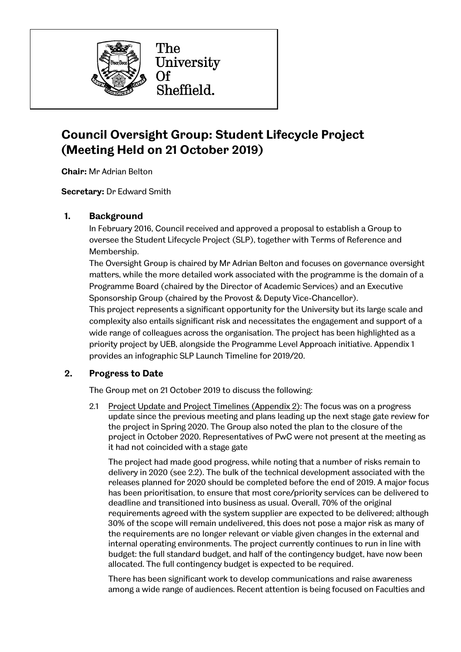

# **Council Oversight Group: Student Lifecycle Project (Meeting Held on 21 October 2019)**

**Chair:** Mr Adrian Belton

**Secretary:** Dr Edward Smith

### **1. Background**

In February 2016, Council received and approved a proposal to establish a Group to oversee the Student Lifecycle Project (SLP), together with Terms of Reference and Membership.

The Oversight Group is chaired by Mr Adrian Belton and focuses on governance oversight matters, while the more detailed work associated with the programme is the domain of a Programme Board (chaired by the Director of Academic Services) and an Executive Sponsorship Group (chaired by the Provost & Deputy Vice-Chancellor).

This project represents a significant opportunity for the University but its large scale and complexity also entails significant risk and necessitates the engagement and support of a wide range of colleagues across the organisation. The project has been highlighted as a priority project by UEB, alongside the Programme Level Approach initiative. Appendix 1 provides an infographic SLP Launch Timeline for 2019/20.

### **2. Progress to Date**

The Group met on 21 October 2019 to discuss the following:

2.1 Project Update and Project Timelines (Appendix 2): The focus was on a progress update since the previous meeting and plans leading up the next stage gate review for the project in Spring 2020. The Group also noted the plan to the closure of the project in October 2020. Representatives of PwC were not present at the meeting as it had not coincided with a stage gate

The project had made good progress, while noting that a number of risks remain to delivery in 2020 (see 2.2). The bulk of the technical development associated with the releases planned for 2020 should be completed before the end of 2019. A major focus has been prioritisation, to ensure that most core/priority services can be delivered to deadline and transitioned into business as usual. Overall, 70% of the original requirements agreed with the system supplier are expected to be delivered; although 30% of the scope will remain undelivered, this does not pose a major risk as many of the requirements are no longer relevant or viable given changes in the external and internal operating environments. The project currently continues to run in line with budget: the full standard budget, and half of the contingency budget, have now been allocated. The full contingency budget is expected to be required.

There has been significant work to develop communications and raise awareness among a wide range of audiences. Recent attention is being focused on Faculties and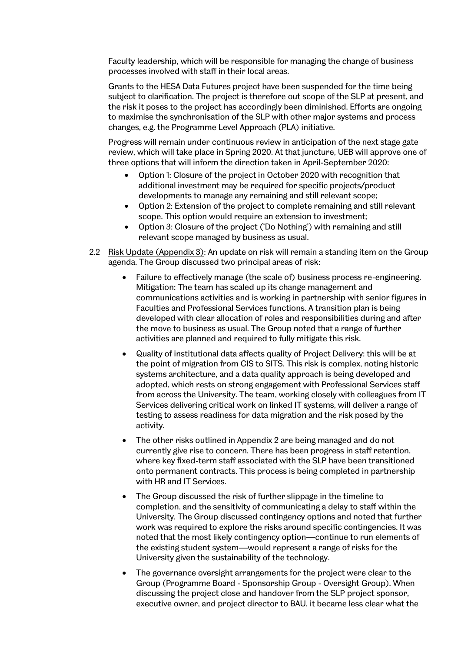Faculty leadership, which will be responsible for managing the change of business processes involved with staff in their local areas.

Grants to the HESA Data Futures project have been suspended for the time being subject to clarification. The project is therefore out scope of the SLP at present, and the risk it poses to the project has accordingly been diminished. Efforts are ongoing to maximise the synchronisation of the SLP with other major systems and process changes, e.g. the Programme Level Approach (PLA) initiative.

Progress will remain under continuous review in anticipation of the next stage gate review, which will take place in Spring 2020. At that juncture, UEB will approve one of three options that will inform the direction taken in April-September 2020:

- Option 1: Closure of the project in October 2020 with recognition that additional investment may be required for specific projects/product developments to manage any remaining and still relevant scope;
- Option 2: Extension of the project to complete remaining and still relevant scope. This option would require an extension to investment;
- Option 3: Closure of the project ('Do Nothing') with remaining and still relevant scope managed by business as usual.
- 2.2 Risk Update (Appendix 3): An update on risk will remain a standing item on the Group agenda. The Group discussed two principal areas of risk:
	- Failure to effectively manage (the scale of) business process re-engineering. Mitigation: The team has scaled up its change management and communications activities and is working in partnership with senior figures in Faculties and Professional Services functions. A transition plan is being developed with clear allocation of roles and responsibilities during and after the move to business as usual. The Group noted that a range of further activities are planned and required to fully mitigate this risk.
	- Quality of institutional data affects quality of Project Delivery: this will be at the point of migration from CIS to SITS. This risk is complex, noting historic systems architecture, and a data quality approach is being developed and adopted, which rests on strong engagement with Professional Services staff from across the University. The team, working closely with colleagues from IT Services delivering critical work on linked IT systems, will deliver a range of testing to assess readiness for data migration and the risk posed by the activity.
	- The other risks outlined in Appendix 2 are being managed and do not currently give rise to concern. There has been progress in staff retention, where key fixed-term staff associated with the SLP have been transitioned onto permanent contracts. This process is being completed in partnership with HR and IT Services.
	- The Group discussed the risk of further slippage in the timeline to completion, and the sensitivity of communicating a delay to staff within the University. The Group discussed contingency options and noted that further work was required to explore the risks around specific contingencies. It was noted that the most likely contingency option—continue to run elements of the existing student system—would represent a range of risks for the University given the sustainability of the technology.
	- The governance oversight arrangements for the project were clear to the Group (Programme Board - Sponsorship Group - Oversight Group). When discussing the project close and handover from the SLP project sponsor, executive owner, and project director to BAU, it became less clear what the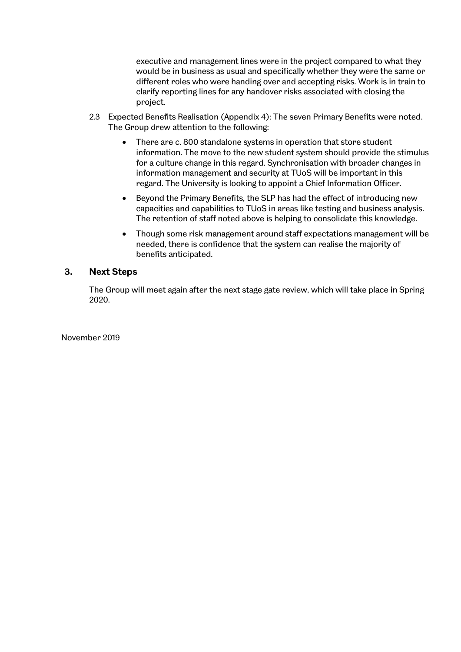executive and management lines were in the project compared to what they would be in business as usual and specifically whether they were the same or different roles who were handing over and accepting risks. Work is in train to clarify reporting lines for any handover risks associated with closing the project.

- 2.3 Expected Benefits Realisation (Appendix 4): The seven Primary Benefits were noted. The Group drew attention to the following:
	- There are c. 800 standalone systems in operation that store student information. The move to the new student system should provide the stimulus for a culture change in this regard. Synchronisation with broader changes in information management and security at TUoS will be important in this regard. The University is looking to appoint a Chief Information Officer.
	- Beyond the Primary Benefits, the SLP has had the effect of introducing new capacities and capabilities to TUoS in areas like testing and business analysis. The retention of staff noted above is helping to consolidate this knowledge.
	- Though some risk management around staff expectations management will be needed, there is confidence that the system can realise the majority of benefits anticipated.

### **3. Next Steps**

The Group will meet again after the next stage gate review, which will take place in Spring 2020.

November 2019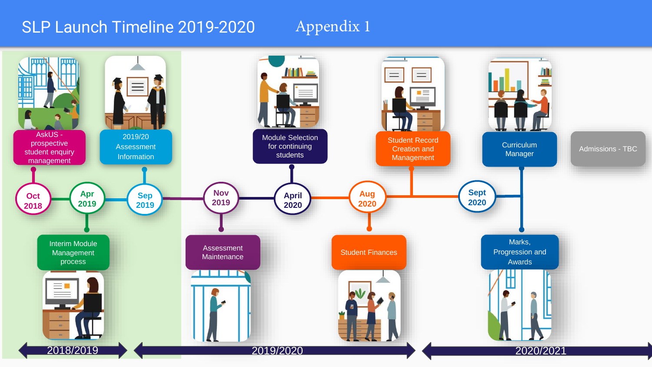# SLP Launch Timeline 2019-2020

# Appendix 1

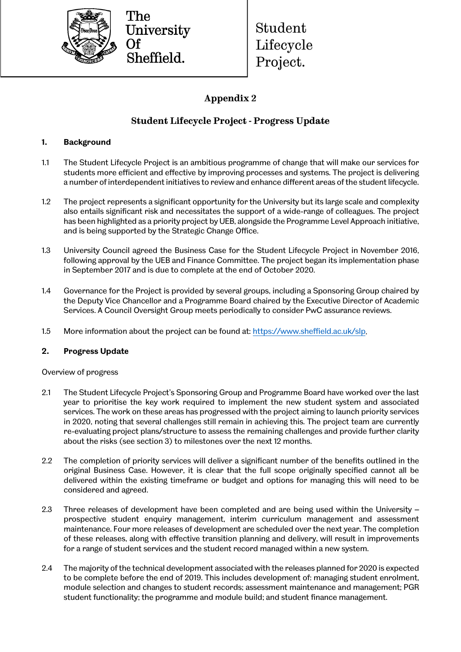

The University Sheffield.

Student Lifecycle Project.

# **Appendix 2**

## **Student Lifecycle Project - Progress Update**

### **1. Background**

- 1.1 The Student Lifecycle Project is an ambitious programme of change that will make our services for students more efficient and effective by improving processes and systems. The project is delivering a number of interdependent initiatives to review and enhance different areas of the student lifecycle.
- 1.2 The project represents a significant opportunity for the University but its large scale and complexity also entails significant risk and necessitates the support of a wide-range of colleagues. The project has been highlighted as a priority project by UEB, alongside the Programme Level Approach initiative, and is being supported by the Strategic Change Office.
- 1.3 University Council agreed the Business Case for the Student Lifecycle Project in November 2016, following approval by the UEB and Finance Committee. The project began its implementation phase in September 2017 and is due to complete at the end of October 2020.
- 1.4 Governance for the Project is provided by several groups, including a Sponsoring Group chaired by the Deputy Vice Chancellor and a Programme Board chaired by the Executive Director of Academic Services. A Council Oversight Group meets periodically to consider PwC assurance reviews.
- 1.5 More information about the project can be found at[: https://www.sheffield.ac.uk/slp.](https://www.sheffield.ac.uk/slp)

### **2. Progress Update**

Overview of progress

- 2.1 The Student Lifecycle Project's Sponsoring Group and Programme Board have worked over the last year to prioritise the key work required to implement the new student system and associated services. The work on these areas has progressed with the project aiming to launch priority services in 2020, noting that several challenges still remain in achieving this. The project team are currently re-evaluating project plans/structure to assess the remaining challenges and provide further clarity about the risks (see section 3) to milestones over the next 12 months.
- 2.2 The completion of priority services will deliver a significant number of the benefits outlined in the original Business Case. However, it is clear that the full scope originally specified cannot all be delivered within the existing timeframe or budget and options for managing this will need to be considered and agreed.
- 2.3 Three releases of development have been completed and are being used within the University prospective student enquiry management, interim curriculum management and assessment maintenance. Four more releases of development are scheduled over the next year. The completion of these releases, along with effective transition planning and delivery, will result in improvements for a range of student services and the student record managed within a new system.
- 2.4 The majority of the technical development associated with the releases planned for 2020 is expected to be complete before the end of 2019. This includes development of: managing student enrolment, module selection and changes to student records; assessment maintenance and management; PGR student functionality; the programme and module build; and student finance management.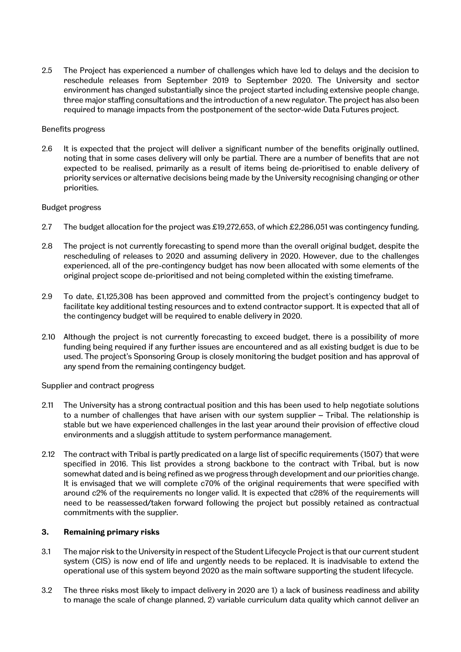2.5 The Project has experienced a number of challenges which have led to delays and the decision to reschedule releases from September 2019 to September 2020. The University and sector environment has changed substantially since the project started including extensive people change, three major staffing consultations and the introduction of a new regulator. The project has also been required to manage impacts from the postponement of the sector-wide Data Futures project.

#### Benefits progress

2.6 It is expected that the project will deliver a significant number of the benefits originally outlined, noting that in some cases delivery will only be partial. There are a number of benefits that are not expected to be realised, primarily as a result of items being de-prioritised to enable delivery of priority services or alternative decisions being made by the University recognising changing or other priorities.

#### Budget progress

- 2.7 The budget allocation for the project was £19,272,653, of which £2,286,051 was contingency funding.
- 2.8 The project is not currently forecasting to spend more than the overall original budget, despite the rescheduling of releases to 2020 and assuming delivery in 2020. However, due to the challenges experienced, all of the pre-contingency budget has now been allocated with some elements of the original project scope de-prioritised and not being completed within the existing timeframe.
- 2.9 To date, £1,125,308 has been approved and committed from the project's contingency budget to facilitate key additional testing resources and to extend contractor support. It is expected that all of the contingency budget will be required to enable delivery in 2020.
- 2.10 Although the project is not currently forecasting to exceed budget, there is a possibility of more funding being required if any further issues are encountered and as all existing budget is due to be used. The project's Sponsoring Group is closely monitoring the budget position and has approval of any spend from the remaining contingency budget.

#### Supplier and contract progress

- 2.11 The University has a strong contractual position and this has been used to help negotiate solutions to a number of challenges that have arisen with our system supplier – Tribal. The relationship is stable but we have experienced challenges in the last year around their provision of effective cloud environments and a sluggish attitude to system performance management.
- 2.12 The contract with Tribal is partly predicated on a large list of specific requirements (1507) that were specified in 2016. This list provides a strong backbone to the contract with Tribal, but is now somewhat dated and is being refined as we progress through development and our priorities change. It is envisaged that we will complete c70% of the original requirements that were specified with around c2% of the requirements no longer valid. It is expected that c28% of the requirements will need to be reassessed/taken forward following the project but possibly retained as contractual commitments with the supplier.

#### **3. Remaining primary risks**

- 3.1 The major risk to the University in respect ofthe Student Lifecycle Project is that our current student system (CIS) is now end of life and urgently needs to be replaced. It is inadvisable to extend the operational use of this system beyond 2020 as the main software supporting the student lifecycle.
- 3.2 The three risks most likely to impact delivery in 2020 are 1) a lack of business readiness and ability to manage the scale of change planned, 2) variable curriculum data quality which cannot deliver an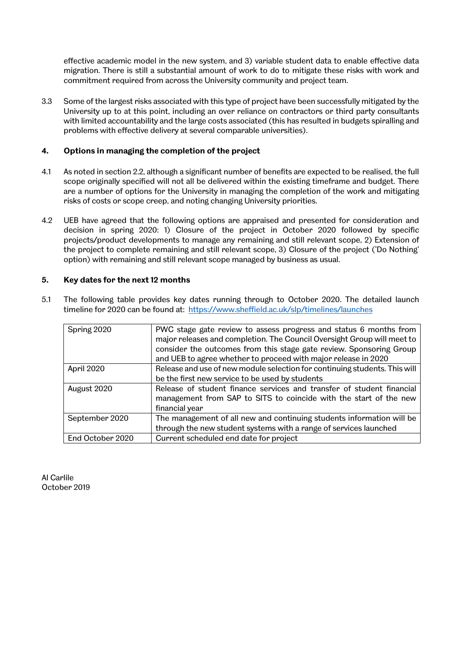effective academic model in the new system, and 3) variable student data to enable effective data migration. There is still a substantial amount of work to do to mitigate these risks with work and commitment required from across the University community and project team.

3.3 Some of the largest risks associated with this type of project have been successfully mitigated by the University up to at this point, including an over reliance on contractors or third party consultants with limited accountability and the large costs associated (this has resulted in budgets spiralling and problems with effective delivery at several comparable universities).

#### **4. Options in managing the completion of the project**

- 4.1 As noted in section 2.2, although a significant number of benefits are expected to be realised, the full scope originally specified will not all be delivered within the existing timeframe and budget. There are a number of options for the University in managing the completion of the work and mitigating risks of costs or scope creep, and noting changing University priorities.
- 4.2 UEB have agreed that the following options are appraised and presented for consideration and decision in spring 2020: 1) Closure of the project in October 2020 followed by specific projects/product developments to manage any remaining and still relevant scope, 2) Extension of the project to complete remaining and still relevant scope, 3) Closure of the project ('Do Nothing' option) with remaining and still relevant scope managed by business as usual.

#### **5. Key dates for the next 12 months**

| Spring 2020      | PWC stage gate review to assess progress and status 6 months from<br>major releases and completion. The Council Oversight Group will meet to<br>consider the outcomes from this stage gate review. Sponsoring Group<br>and UEB to agree whether to proceed with major release in 2020 |
|------------------|---------------------------------------------------------------------------------------------------------------------------------------------------------------------------------------------------------------------------------------------------------------------------------------|
| April 2020       | Release and use of new module selection for continuing students. This will<br>be the first new service to be used by students                                                                                                                                                         |
| August 2020      | Release of student finance services and transfer of student financial<br>management from SAP to SITS to coincide with the start of the new<br>financial year                                                                                                                          |
| September 2020   | The management of all new and continuing students information will be<br>through the new student systems with a range of services launched                                                                                                                                            |
| End October 2020 | Current scheduled end date for project                                                                                                                                                                                                                                                |

5.1 The following table provides key dates running through to October 2020. The detailed launch timeline for 2020 can be found at:<https://www.sheffield.ac.uk/slp/timelines/launches>

Al Carlile October 2019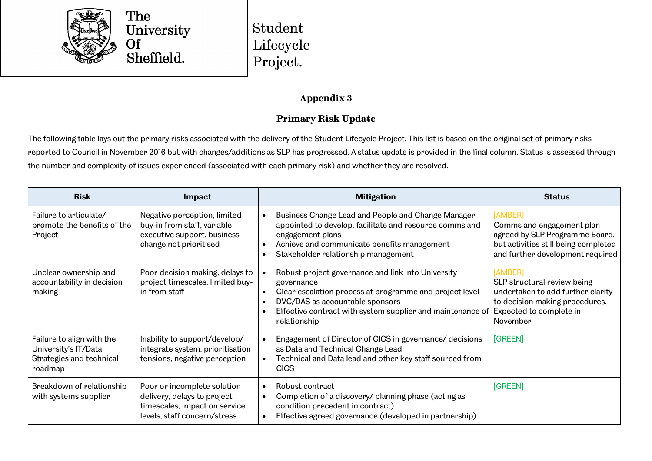

Student Lifecycle Project.

## **Appendix 3**

# **Primary Risk Update**

The following table lays out the primary risks associated with the delivery of the Student Lifecycle Project. This list is based on the original set of primary risks reported to Council in November 2016 but with changes/additions as SLP has progressed. A status update is provided in the final column. Status is assessed through the number and complexity of issues experienced (associated with each primary risk) and whether they are resolved.

| <b>Risk</b>                                                                              | Impact                                                                                                                      | <b>Mitigation</b>                                                                                                                                                                                                                            | <b>Status</b>                                                                                                                                        |
|------------------------------------------------------------------------------------------|-----------------------------------------------------------------------------------------------------------------------------|----------------------------------------------------------------------------------------------------------------------------------------------------------------------------------------------------------------------------------------------|------------------------------------------------------------------------------------------------------------------------------------------------------|
| Failure to articulate/<br>promote the benefits of the<br>Project                         | Negative perception, limited<br>buy-in from staff, variable<br>executive support, business<br>change not prioritised        | Business Change Lead and People and Change Manager<br>appointed to develop, facilitate and resource comms and<br>engagement plans<br>Achieve and communicate benefits management<br>Stakeholder relationship management                      | [AMBER]<br>Comms and engagement plan<br>agreed by SLP Programme Board,<br>but activities still being completed<br>and further development required   |
| Unclear ownership and<br>accountability in decision<br>making                            | Poor decision making, delays to<br>project timescales, limited buy-<br>in from staff                                        | Robust project governance and link into University<br>governance<br>Clear escalation process at programme and project level<br>DVC/DAS as accountable sponsors<br>Effective contract with system supplier and maintenance of<br>relationship | [AMBER]<br>SLP structural review being<br>undertaken to add further clarity<br>to decision making procedures.<br>Expected to complete in<br>November |
| Failure to align with the<br>University's IT/Data<br>Strategies and technical<br>roadmap | Inability to support/develop/<br>integrate system, prioritisation<br>tensions, negative perception                          | Engagement of Director of CICS in governance/ decisions<br>as Data and Technical Change Lead<br>Technical and Data lead and other key staff sourced from<br><b>CICS</b>                                                                      | [GREEN]                                                                                                                                              |
| Breakdown of relationship<br>with systems supplier                                       | Poor or incomplete solution<br>delivery, delays to project<br>timescales, impact on service<br>levels, staff concern/stress | Robust contract<br>Completion of a discovery/ planning phase (acting as<br>$\bullet$<br>condition precedent in contract)<br>Effective agreed governance (developed in partnership)                                                           | [GREEN]                                                                                                                                              |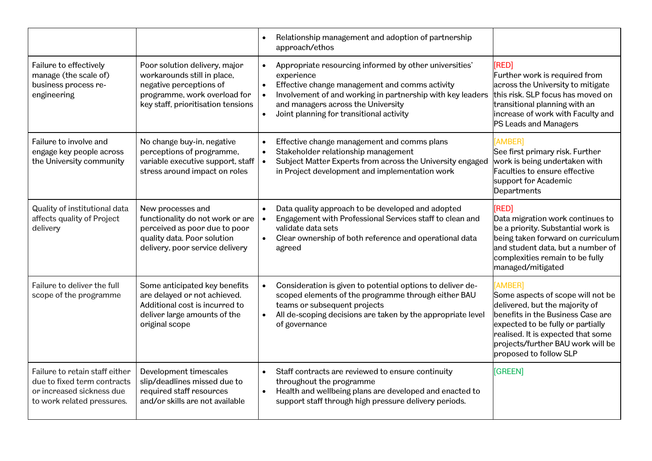|                                                                                                                          |                                                                                                                                                               | Relationship management and adoption of partnership<br>approach/ethos                                                                                                                                                                                                                                         |                                                                                                                                                                                                                                                               |
|--------------------------------------------------------------------------------------------------------------------------|---------------------------------------------------------------------------------------------------------------------------------------------------------------|---------------------------------------------------------------------------------------------------------------------------------------------------------------------------------------------------------------------------------------------------------------------------------------------------------------|---------------------------------------------------------------------------------------------------------------------------------------------------------------------------------------------------------------------------------------------------------------|
| Failure to effectively<br>manage (the scale of)<br>business process re-<br>engineering                                   | Poor solution delivery, major<br>workarounds still in place,<br>negative perceptions of<br>programme, work overload for<br>key staff, prioritisation tensions | Appropriate resourcing informed by other universities'<br>$\bullet$<br>experience<br>Effective change management and comms activity<br>$\bullet$<br>Involvement of and working in partnership with key leaders<br>and managers across the University<br>Joint planning for transitional activity<br>$\bullet$ | [RED]<br>Further work is required from<br>across the University to mitigate<br>this risk. SLP focus has moved on<br>transitional planning with an<br>increase of work with Faculty and<br>PS Leads and Managers                                               |
| Failure to involve and<br>engage key people across<br>the University community                                           | No change buy-in, negative<br>perceptions of programme,<br>variable executive support, staff<br>stress around impact on roles                                 | Effective change management and comms plans<br>Stakeholder relationship management<br>$\bullet$<br>Subject Matter Experts from across the University engaged<br>$\bullet$<br>in Project development and implementation work                                                                                   | [AMBER]<br>See first primary risk. Further<br>work is being undertaken with<br>Faculties to ensure effective<br>support for Academic<br>Departments                                                                                                           |
| Quality of institutional data<br>affects quality of Project<br>delivery                                                  | New processes and<br>functionality do not work or are<br>perceived as poor due to poor<br>quality data. Poor solution<br>delivery, poor service delivery      | Data quality approach to be developed and adopted<br>Engagement with Professional Services staff to clean and<br>$\bullet$<br>validate data sets<br>Clear ownership of both reference and operational data<br>$\bullet$<br>agreed                                                                             | [RED]<br>Data migration work continues to<br>be a priority. Substantial work is<br>being taken forward on curriculum<br>and student data, but a number of<br>complexities remain to be fully<br>managed/mitigated                                             |
| Failure to deliver the full<br>scope of the programme                                                                    | Some anticipated key benefits<br>are delayed or not achieved.<br>Additional cost is incurred to<br>deliver large amounts of the<br>original scope             | Consideration is given to potential options to deliver de-<br>scoped elements of the programme through either BAU<br>teams or subsequent projects<br>All de-scoping decisions are taken by the appropriate level<br>of governance                                                                             | [AMBER]<br>Some aspects of scope will not be<br>delivered, but the majority of<br>benefits in the Business Case are<br>expected to be fully or partially<br>realised. It is expected that some<br>projects/further BAU work will be<br>proposed to follow SLP |
| Failure to retain staff either<br>due to fixed term contracts<br>or increased sickness due<br>to work related pressures. | Development timescales<br>slip/deadlines missed due to<br>required staff resources<br>and/or skills are not available                                         | Staff contracts are reviewed to ensure continuity<br>$\bullet$<br>throughout the programme<br>Health and wellbeing plans are developed and enacted to<br>$\bullet$<br>support staff through high pressure delivery periods.                                                                                   | [GREEN]                                                                                                                                                                                                                                                       |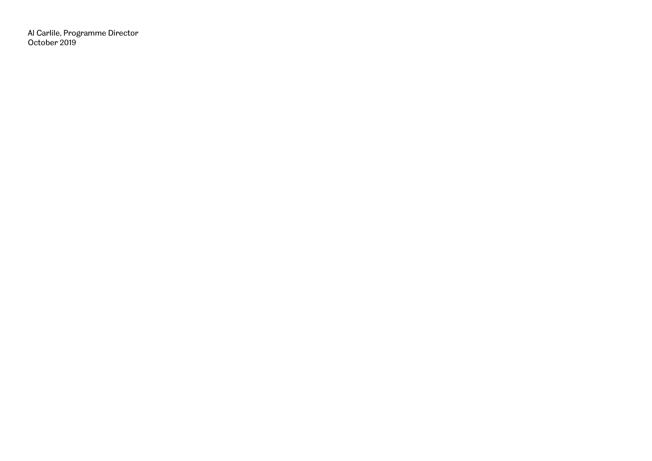Al Carlile, Programme Director October 2019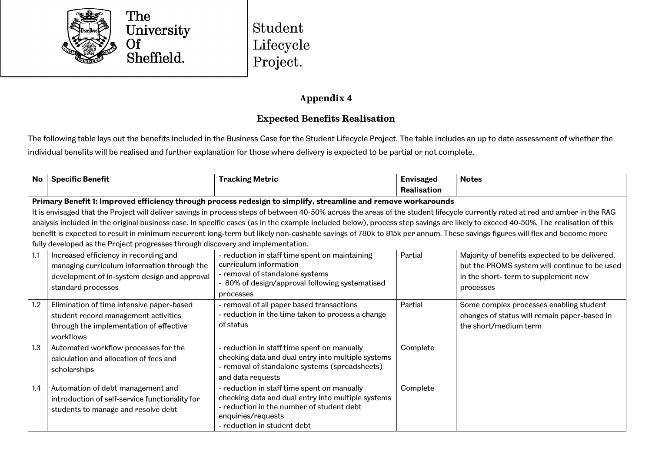

Student Lifecycle Project.

## **Appendix 4**

## **Expected Benefits Realisation**

The following table lays out the benefits included in the Business Case for the Student Lifecycle Project. The table includes an up to date assessment of whether the individual benefits will be realised and further explanation for those where delivery is expected to be partial or not complete.

| <b>No</b> | <b>Specific Benefit</b>                                                                                                                                    | <b>Tracking Metric</b>                                                                                                                                                                              | <b>Envisaged</b>   | <b>Notes</b>                                                                                                                                        |
|-----------|------------------------------------------------------------------------------------------------------------------------------------------------------------|-----------------------------------------------------------------------------------------------------------------------------------------------------------------------------------------------------|--------------------|-----------------------------------------------------------------------------------------------------------------------------------------------------|
|           |                                                                                                                                                            |                                                                                                                                                                                                     | <b>Realisation</b> |                                                                                                                                                     |
|           |                                                                                                                                                            | Primary Benefit 1: Improved efficiency through process redesign to simplify, streamline and remove workarounds                                                                                      |                    |                                                                                                                                                     |
|           |                                                                                                                                                            | It is envisaged that the Project will deliver savings in process steps of between 40-50% across the areas of the student lifecycle currently rated at red and amber in the RAG                      |                    |                                                                                                                                                     |
|           |                                                                                                                                                            | analysis included in the original business case. In specific cases (as in the example included below), process step savings are likely to exceed 40-50%. The realisation of this                    |                    |                                                                                                                                                     |
|           |                                                                                                                                                            | benefit is expected to result in minimum recurrent long-term but likely non-cashable savings of 780k to 815k per annum. These savings figures will flex and become more                             |                    |                                                                                                                                                     |
|           | fully developed as the Project progresses through discovery and implementation.                                                                            |                                                                                                                                                                                                     |                    |                                                                                                                                                     |
| 1.1       | Increased efficiency in recording and<br>managing curriculum information through the<br>development of in-system design and approval<br>standard processes | - reduction in staff time spent on maintaining<br>curriculum information<br>- removal of standalone systems<br>- 80% of design/approval following systematised<br>processes                         | Partial            | Majority of benefits expected to be delivered,<br>but the PROMS system will continue to be used<br>in the short-term to supplement new<br>processes |
| 1.2       | Elimination of time intensive paper-based<br>student record management activities<br>through the implementation of effective<br>workflows                  | - removal of all paper based transactions<br>- reduction in the time taken to process a change<br>of status                                                                                         | Partial            | Some complex processes enabling student<br>changes of status will remain paper-based in<br>the short/medium term                                    |
| 1.3       | Automated workflow processes for the<br>calculation and allocation of fees and<br>scholarships                                                             | - reduction in staff time spent on manually<br>checking data and dual entry into multiple systems<br>- removal of standalone systems (spreadsheets)<br>and data requests                            | Complete           |                                                                                                                                                     |
| 1.4       | Automation of debt management and<br>introduction of self-service functionality for<br>students to manage and resolve debt                                 | - reduction in staff time spent on manually<br>checking data and dual entry into multiple systems<br>- reduction in the number of student debt<br>enquiries/requests<br>- reduction in student debt | Complete           |                                                                                                                                                     |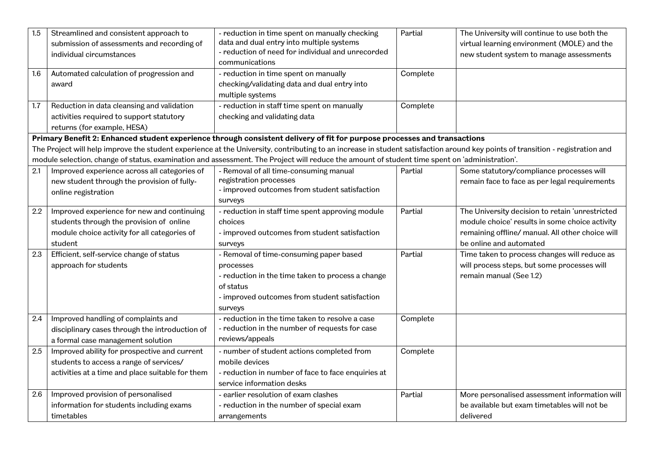| 1.5<br>1.6 | Streamlined and consistent approach to<br>submission of assessments and recording of<br>individual circumstances<br>Automated calculation of progression and | - reduction in time spent on manually checking<br>data and dual entry into multiple systems<br>- reduction of need for individual and unrecorded<br>communications<br>- reduction in time spent on manually | Partial<br>Complete | The University will continue to use both the<br>virtual learning environment (MOLE) and the<br>new student system to manage assessments |
|------------|--------------------------------------------------------------------------------------------------------------------------------------------------------------|-------------------------------------------------------------------------------------------------------------------------------------------------------------------------------------------------------------|---------------------|-----------------------------------------------------------------------------------------------------------------------------------------|
|            | award                                                                                                                                                        | checking/validating data and dual entry into<br>multiple systems                                                                                                                                            |                     |                                                                                                                                         |
| 1.7        | Reduction in data cleansing and validation                                                                                                                   | - reduction in staff time spent on manually                                                                                                                                                                 | Complete            |                                                                                                                                         |
|            | activities required to support statutory                                                                                                                     | checking and validating data                                                                                                                                                                                |                     |                                                                                                                                         |
|            | returns (for example, HESA)                                                                                                                                  |                                                                                                                                                                                                             |                     |                                                                                                                                         |
|            |                                                                                                                                                              | Primary Benefit 2: Enhanced student experience through consistent delivery of fit for purpose processes and transactions                                                                                    |                     |                                                                                                                                         |
|            |                                                                                                                                                              | The Project will help improve the student experience at the University, contributing to an increase in student satisfaction around key points of transition - registration and                              |                     |                                                                                                                                         |
|            |                                                                                                                                                              | module selection, change of status, examination and assessment. The Project will reduce the amount of student time spent on 'administration'.                                                               |                     |                                                                                                                                         |
| 2.1        | Improved experience across all categories of                                                                                                                 | - Removal of all time-consuming manual                                                                                                                                                                      | Partial             | Some statutory/compliance processes will                                                                                                |
|            | new student through the provision of fully-                                                                                                                  | registration processes<br>- improved outcomes from student satisfaction                                                                                                                                     |                     | remain face to face as per legal requirements                                                                                           |
|            | online registration                                                                                                                                          | surveys                                                                                                                                                                                                     |                     |                                                                                                                                         |
| 2.2        | Improved experience for new and continuing                                                                                                                   | - reduction in staff time spent approving module                                                                                                                                                            | Partial             | The University decision to retain 'unrestricted                                                                                         |
|            | students through the provision of online                                                                                                                     | choices                                                                                                                                                                                                     |                     | module choice' results in some choice activity                                                                                          |
|            | module choice activity for all categories of                                                                                                                 | - improved outcomes from student satisfaction                                                                                                                                                               |                     | remaining offline/ manual. All other choice will                                                                                        |
|            | student                                                                                                                                                      | surveys                                                                                                                                                                                                     |                     | be online and automated                                                                                                                 |
| 2.3        | Efficient, self-service change of status                                                                                                                     | - Removal of time-consuming paper based                                                                                                                                                                     | Partial             | Time taken to process changes will reduce as                                                                                            |
|            | approach for students                                                                                                                                        | processes                                                                                                                                                                                                   |                     | will process steps, but some processes will                                                                                             |
|            |                                                                                                                                                              | - reduction in the time taken to process a change                                                                                                                                                           |                     | remain manual (See 1.2)                                                                                                                 |
|            |                                                                                                                                                              | of status                                                                                                                                                                                                   |                     |                                                                                                                                         |
|            |                                                                                                                                                              | - improved outcomes from student satisfaction                                                                                                                                                               |                     |                                                                                                                                         |
|            |                                                                                                                                                              | surveys                                                                                                                                                                                                     |                     |                                                                                                                                         |
| 2.4        | Improved handling of complaints and                                                                                                                          | - reduction in the time taken to resolve a case                                                                                                                                                             | Complete            |                                                                                                                                         |
|            | disciplinary cases through the introduction of                                                                                                               | - reduction in the number of requests for case                                                                                                                                                              |                     |                                                                                                                                         |
|            | a formal case management solution                                                                                                                            | reviews/appeals                                                                                                                                                                                             |                     |                                                                                                                                         |
| 2.5        | Improved ability for prospective and current                                                                                                                 | - number of student actions completed from                                                                                                                                                                  | Complete            |                                                                                                                                         |
|            | students to access a range of services/                                                                                                                      | mobile devices                                                                                                                                                                                              |                     |                                                                                                                                         |
|            | activities at a time and place suitable for them                                                                                                             | - reduction in number of face to face enquiries at                                                                                                                                                          |                     |                                                                                                                                         |
|            |                                                                                                                                                              | service information desks                                                                                                                                                                                   |                     |                                                                                                                                         |
| 2.6        | Improved provision of personalised                                                                                                                           | - earlier resolution of exam clashes                                                                                                                                                                        | Partial             | More personalised assessment information will                                                                                           |
|            | information for students including exams                                                                                                                     | - reduction in the number of special exam                                                                                                                                                                   |                     | be available but exam timetables will not be                                                                                            |
|            | timetables                                                                                                                                                   | arrangements                                                                                                                                                                                                |                     | delivered                                                                                                                               |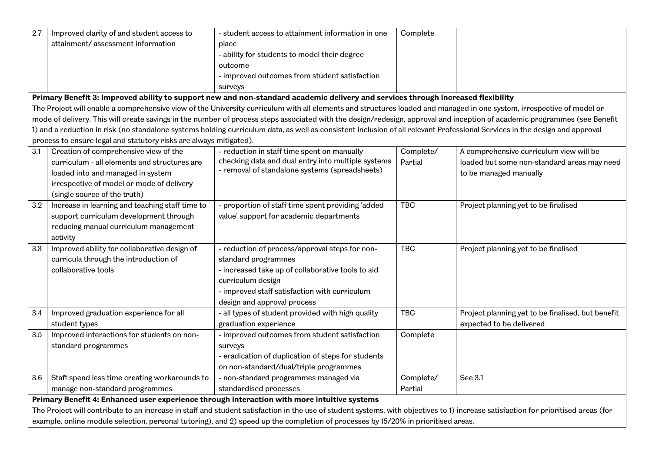| 2.7 | Improved clarity of and student access to                                                                                         | - student access to attainment information in one                                                                                                                                  | Complete   |                                                   |  |  |
|-----|-----------------------------------------------------------------------------------------------------------------------------------|------------------------------------------------------------------------------------------------------------------------------------------------------------------------------------|------------|---------------------------------------------------|--|--|
|     | attainment/assessment information                                                                                                 | place                                                                                                                                                                              |            |                                                   |  |  |
|     |                                                                                                                                   | - ability for students to model their degree                                                                                                                                       |            |                                                   |  |  |
|     |                                                                                                                                   | outcome                                                                                                                                                                            |            |                                                   |  |  |
|     |                                                                                                                                   | - improved outcomes from student satisfaction                                                                                                                                      |            |                                                   |  |  |
|     |                                                                                                                                   | surveys                                                                                                                                                                            |            |                                                   |  |  |
|     |                                                                                                                                   | Primary Benefit 3: Improved ability to support new and non-standard academic delivery and services through increased flexibility                                                   |            |                                                   |  |  |
|     |                                                                                                                                   | The Project will enable a comprehensive view of the University curriculum with all elements and structures loaded and managed in one system, irrespective of model or              |            |                                                   |  |  |
|     |                                                                                                                                   | mode of delivery. This will create savings in the number of process steps associated with the design/redesign, approval and inception of academic programmes (see Benefit          |            |                                                   |  |  |
|     |                                                                                                                                   | 1) and a reduction in risk (no standalone systems holding curriculum data, as well as consistent inclusion of all relevant Professional Services in the design and approval        |            |                                                   |  |  |
|     | process to ensure legal and statutory risks are always mitigated).                                                                |                                                                                                                                                                                    |            |                                                   |  |  |
| 3.1 | Creation of comprehensive view of the                                                                                             | - reduction in staff time spent on manually                                                                                                                                        | Complete/  | A comprehensive curriculum view will be           |  |  |
|     | curriculum - all elements and structures are                                                                                      | checking data and dual entry into multiple systems                                                                                                                                 | Partial    | loaded but some non-standard areas may need       |  |  |
|     | loaded into and managed in system                                                                                                 | - removal of standalone systems (spreadsheets)                                                                                                                                     |            | to be managed manually                            |  |  |
|     | irrespective of model or mode of delivery                                                                                         |                                                                                                                                                                                    |            |                                                   |  |  |
|     | (single source of the truth)                                                                                                      |                                                                                                                                                                                    |            |                                                   |  |  |
| 3.2 | Increase in learning and teaching staff time to                                                                                   | - proportion of staff time spent providing 'added                                                                                                                                  | <b>TBC</b> | Project planning yet to be finalised              |  |  |
|     | support curriculum development through                                                                                            | value' support for academic departments                                                                                                                                            |            |                                                   |  |  |
|     | reducing manual curriculum management                                                                                             |                                                                                                                                                                                    |            |                                                   |  |  |
|     | activity                                                                                                                          |                                                                                                                                                                                    |            |                                                   |  |  |
| 3.3 | Improved ability for collaborative design of                                                                                      | - reduction of process/approval steps for non-                                                                                                                                     | <b>TBC</b> | Project planning yet to be finalised              |  |  |
|     | curricula through the introduction of                                                                                             | standard programmes                                                                                                                                                                |            |                                                   |  |  |
|     | collaborative tools                                                                                                               | - increased take up of collaborative tools to aid                                                                                                                                  |            |                                                   |  |  |
|     |                                                                                                                                   | curriculum design                                                                                                                                                                  |            |                                                   |  |  |
|     |                                                                                                                                   | - improved staff satisfaction with curriculum                                                                                                                                      |            |                                                   |  |  |
|     |                                                                                                                                   | design and approval process                                                                                                                                                        |            |                                                   |  |  |
| 3.4 | Improved graduation experience for all                                                                                            | - all types of student provided with high quality                                                                                                                                  | <b>TBC</b> | Project planning yet to be finalised, but benefit |  |  |
|     | student types                                                                                                                     | graduation experience                                                                                                                                                              |            | expected to be delivered                          |  |  |
| 3.5 | Improved interactions for students on non-                                                                                        | - improved outcomes from student satisfaction                                                                                                                                      | Complete   |                                                   |  |  |
|     | standard programmes                                                                                                               | surveys                                                                                                                                                                            |            |                                                   |  |  |
|     |                                                                                                                                   | - eradication of duplication of steps for students                                                                                                                                 |            |                                                   |  |  |
|     |                                                                                                                                   | on non-standard/dual/triple programmes                                                                                                                                             |            |                                                   |  |  |
| 3.6 | Staff spend less time creating workarounds to                                                                                     | - non-standard programmes managed via                                                                                                                                              | Complete/  | See 3.1                                           |  |  |
|     | manage non-standard programmes                                                                                                    | standardised processes                                                                                                                                                             | Partial    |                                                   |  |  |
|     | Primary Benefit 4: Enhanced user experience through interaction with more intuitive systems                                       |                                                                                                                                                                                    |            |                                                   |  |  |
|     |                                                                                                                                   | The Project will contribute to an increase in staff and student satisfaction in the use of student systems, with objectives to 1) increase satisfaction for prioritised areas (for |            |                                                   |  |  |
|     | example, online module selection, personal tutoring), and 2) speed up the completion of processes by 15/20% in prioritised areas. |                                                                                                                                                                                    |            |                                                   |  |  |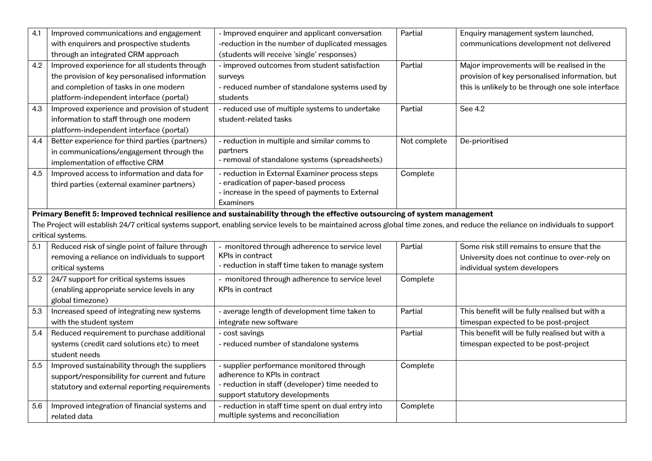| 4.1 | Improved communications and engagement                                                                                                                                         | - Improved enquirer and applicant conversation                                                                             | Partial      | Enquiry management system launched,               |  |  |
|-----|--------------------------------------------------------------------------------------------------------------------------------------------------------------------------------|----------------------------------------------------------------------------------------------------------------------------|--------------|---------------------------------------------------|--|--|
|     | with enquirers and prospective students                                                                                                                                        | -reduction in the number of duplicated messages                                                                            |              | communications development not delivered          |  |  |
|     | through an integrated CRM approach                                                                                                                                             | (students will receive 'single' responses)                                                                                 |              |                                                   |  |  |
| 4.2 | Improved experience for all students through                                                                                                                                   | - improved outcomes from student satisfaction                                                                              | Partial      | Major improvements will be realised in the        |  |  |
|     | the provision of key personalised information                                                                                                                                  | surveys                                                                                                                    |              | provision of key personalised information, but    |  |  |
|     | and completion of tasks in one modern                                                                                                                                          | - reduced number of standalone systems used by                                                                             |              | this is unlikely to be through one sole interface |  |  |
|     | platform-independent interface (portal)                                                                                                                                        | students                                                                                                                   |              |                                                   |  |  |
| 4.3 | Improved experience and provision of student                                                                                                                                   | - reduced use of multiple systems to undertake                                                                             | Partial      | See 4.2                                           |  |  |
|     | information to staff through one modern                                                                                                                                        | student-related tasks                                                                                                      |              |                                                   |  |  |
|     | platform-independent interface (portal)                                                                                                                                        |                                                                                                                            |              |                                                   |  |  |
| 4.4 | Better experience for third parties (partners)                                                                                                                                 | - reduction in multiple and similar comms to                                                                               | Not complete | De-prioritised                                    |  |  |
|     | in communications/engagement through the                                                                                                                                       | partners                                                                                                                   |              |                                                   |  |  |
|     | implementation of effective CRM                                                                                                                                                | - removal of standalone systems (spreadsheets)                                                                             |              |                                                   |  |  |
| 4.5 | Improved access to information and data for                                                                                                                                    | - reduction in External Examiner process steps                                                                             | Complete     |                                                   |  |  |
|     | third parties (external examiner partners)                                                                                                                                     | - eradication of paper-based process                                                                                       |              |                                                   |  |  |
|     |                                                                                                                                                                                | - increase in the speed of payments to External                                                                            |              |                                                   |  |  |
|     |                                                                                                                                                                                | Examiners                                                                                                                  |              |                                                   |  |  |
|     |                                                                                                                                                                                | Primary Benefit 5: Improved technical resilience and sustainability through the effective outsourcing of system management |              |                                                   |  |  |
|     | The Project will establish 24/7 critical systems support, enabling service levels to be maintained across global time zones, and reduce the reliance on individuals to support |                                                                                                                            |              |                                                   |  |  |
|     | critical systems.                                                                                                                                                              |                                                                                                                            |              |                                                   |  |  |
| 5.1 | Reduced risk of single point of failure through                                                                                                                                | - monitored through adherence to service level                                                                             | Partial      | Some risk still remains to ensure that the        |  |  |
|     | removing a reliance on individuals to support                                                                                                                                  | KPIs in contract<br>- reduction in staff time taken to manage system                                                       |              | University does not continue to over-rely on      |  |  |
|     | critical systems                                                                                                                                                               |                                                                                                                            |              | individual system developers                      |  |  |
| 5.2 | 24/7 support for critical systems issues                                                                                                                                       | - monitored through adherence to service level                                                                             | Complete     |                                                   |  |  |
|     | (enabling appropriate service levels in any                                                                                                                                    | KPIs in contract                                                                                                           |              |                                                   |  |  |
|     | global timezone)                                                                                                                                                               |                                                                                                                            |              |                                                   |  |  |
| 5.3 | Increased speed of integrating new systems                                                                                                                                     | - average length of development time taken to                                                                              | Partial      | This benefit will be fully realised but with a    |  |  |
|     | with the student system                                                                                                                                                        | integrate new software                                                                                                     |              | timespan expected to be post-project              |  |  |
| 5.4 | Reduced requirement to purchase additional                                                                                                                                     | - cost savings                                                                                                             | Partial      | This benefit will be fully realised but with a    |  |  |
|     | systems (credit card solutions etc) to meet                                                                                                                                    | - reduced number of standalone systems                                                                                     |              | timespan expected to be post-project              |  |  |
|     | student needs                                                                                                                                                                  |                                                                                                                            |              |                                                   |  |  |
| 5.5 | Improved sustainability through the suppliers                                                                                                                                  | - supplier performance monitored through                                                                                   | Complete     |                                                   |  |  |
|     | support/responsibility for current and future                                                                                                                                  | adherence to KPIs in contract                                                                                              |              |                                                   |  |  |
|     | statutory and external reporting requirements                                                                                                                                  | - reduction in staff (developer) time needed to                                                                            |              |                                                   |  |  |
|     | Improved integration of financial systems and                                                                                                                                  | support statutory developments                                                                                             |              |                                                   |  |  |
| 5.6 |                                                                                                                                                                                | - reduction in staff time spent on dual entry into                                                                         | Complete     |                                                   |  |  |
|     | related data                                                                                                                                                                   | multiple systems and reconciliation                                                                                        |              |                                                   |  |  |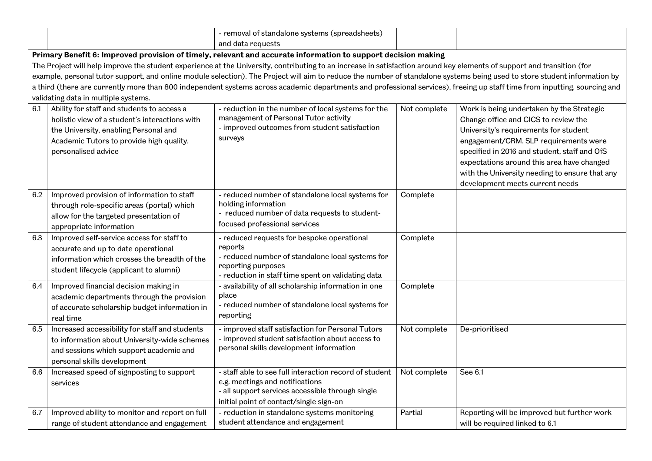|     |                                                                                                                                                                                                          | - removal of standalone systems (spreadsheets)                                                                                                                                           |              |                                                                                                                                                                                                                                                                                                                                                        |
|-----|----------------------------------------------------------------------------------------------------------------------------------------------------------------------------------------------------------|------------------------------------------------------------------------------------------------------------------------------------------------------------------------------------------|--------------|--------------------------------------------------------------------------------------------------------------------------------------------------------------------------------------------------------------------------------------------------------------------------------------------------------------------------------------------------------|
|     |                                                                                                                                                                                                          | and data requests                                                                                                                                                                        |              |                                                                                                                                                                                                                                                                                                                                                        |
|     |                                                                                                                                                                                                          | Primary Benefit 6: Improved provision of timely, relevant and accurate information to support decision making                                                                            |              |                                                                                                                                                                                                                                                                                                                                                        |
|     |                                                                                                                                                                                                          | The Project will help improve the student experience at the University, contributing to an increase in satisfaction around key elements of support and transition (for                   |              |                                                                                                                                                                                                                                                                                                                                                        |
|     |                                                                                                                                                                                                          | example, personal tutor support, and online module selection). The Project will aim to reduce the number of standalone systems being used to store student information by                |              |                                                                                                                                                                                                                                                                                                                                                        |
|     |                                                                                                                                                                                                          | a third (there are currently more than 800 independent systems across academic departments and professional services), freeing up staff time from inputting, sourcing and                |              |                                                                                                                                                                                                                                                                                                                                                        |
|     | validating data in multiple systems.                                                                                                                                                                     |                                                                                                                                                                                          |              |                                                                                                                                                                                                                                                                                                                                                        |
| 6.1 | Ability for staff and students to access a<br>holistic view of a student's interactions with<br>the University, enabling Personal and<br>Academic Tutors to provide high quality,<br>personalised advice | - reduction in the number of local systems for the<br>management of Personal Tutor activity<br>- improved outcomes from student satisfaction<br>surveys                                  | Not complete | Work is being undertaken by the Strategic<br>Change office and CICS to review the<br>University's requirements for student<br>engagement/CRM. SLP requirements were<br>specified in 2016 and student, staff and OfS<br>expectations around this area have changed<br>with the University needing to ensure that any<br>development meets current needs |
| 6.2 | Improved provision of information to staff<br>through role-specific areas (portal) which<br>allow for the targeted presentation of<br>appropriate information                                            | - reduced number of standalone local systems for<br>holding information<br>- reduced number of data requests to student-<br>focused professional services                                | Complete     |                                                                                                                                                                                                                                                                                                                                                        |
| 6.3 | Improved self-service access for staff to<br>accurate and up to date operational<br>information which crosses the breadth of the<br>student lifecycle (applicant to alumni)                              | - reduced requests for bespoke operational<br>reports<br>- reduced number of standalone local systems for<br>reporting purposes<br>- reduction in staff time spent on validating data    | Complete     |                                                                                                                                                                                                                                                                                                                                                        |
| 6.4 | Improved financial decision making in<br>academic departments through the provision<br>of accurate scholarship budget information in<br>real time                                                        | - availability of all scholarship information in one<br>place<br>- reduced number of standalone local systems for<br>reporting                                                           | Complete     |                                                                                                                                                                                                                                                                                                                                                        |
| 6.5 | Increased accessibility for staff and students<br>to information about University-wide schemes<br>and sessions which support academic and<br>personal skills development                                 | - improved staff satisfaction for Personal Tutors<br>- improved student satisfaction about access to<br>personal skills development information                                          | Not complete | De-prioritised                                                                                                                                                                                                                                                                                                                                         |
| 6.6 | Increased speed of signposting to support<br>services                                                                                                                                                    | - staff able to see full interaction record of student<br>e.g. meetings and notifications<br>- all support services accessible through single<br>initial point of contact/single sign-on | Not complete | See 6.1                                                                                                                                                                                                                                                                                                                                                |
| 6.7 | Improved ability to monitor and report on full<br>range of student attendance and engagement                                                                                                             | - reduction in standalone systems monitoring<br>student attendance and engagement                                                                                                        | Partial      | Reporting will be improved but further work<br>will be required linked to 6.1                                                                                                                                                                                                                                                                          |